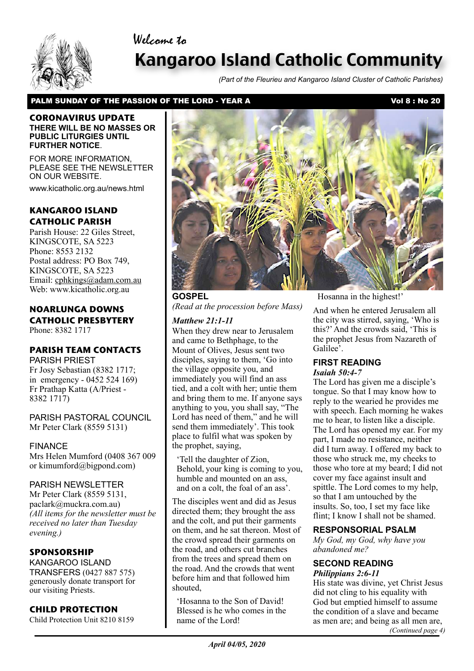### Welcome to



# Kangaroo Island Catholic Community

*(Part of the Fleurieu and Kangaroo Island Cluster of Catholic Parishes)*

#### PALM SUNDAY OF THE PASSION OF THE LORD - YEAR A Vol 8 : No 20

#### **CORONAVIRUS UPDATE THERE WILL BE NO MASSES OR PUBLIC LITURGIES UNTIL FURTHER NOTICE**.

FOR MORE INFORMATION, PLEASE SEE THE NEWSLETTER ON OUR WEBSITE.

www.kicatholic.org.au/news.html

### **KANGAROO ISLAND CATHOLIC PARISH**

Parish House: 22 Giles Street, KINGSCOTE, SA 5223 Phone: 8553 2132 Postal address: PO Box 749, KINGSCOTE, SA 5223 Email: cphkings@adam.com.au Web: www.kicatholic.org.au

### **NOARLUNGA DOWNS CATHOLIC PRESBYTERY**

Phone: 8382 1717

### **PARISH TEAM CONTACTS**

PARISH PRIEST Fr Josy Sebastian (8382 1717; in emergency - 0452 524 169) Fr Prathap Katta (A/Priest - 8382 1717)

PARISH PASTORAL COUNCIL Mr Peter Clark (8559 5131)

#### FINANCE

Mrs Helen Mumford (0408 367 009 or kimumford@bigpond.com)

#### PARISH NEWSLETTER

Mr Peter Clark (8559 5131, paclark@muckra.com.au) *(All items for the newsletter must be received no later than Tuesday evening.)*

#### **SPONSORSHIP**

KANGAROO ISLAND TRANSFERS (0427 887 575) generously donate transport for our visiting Priests.

#### **CHILD PROTECTION**

Child Protection Unit 8210 8159



**GOSPEL** *(Read at the procession before Mass)*

#### *Matthew 21:1-11*

When they drew near to Jerusalem and came to Bethphage, to the Mount of Olives, Jesus sent two disciples, saying to them, 'Go into the village opposite you, and immediately you will find an ass tied, and a colt with her; untie them and bring them to me. If anyone says anything to you, you shall say, "The Lord has need of them," and he will send them immediately'. This took place to fulfil what was spoken by the prophet, saying,

'Tell the daughter of Zion, Behold, your king is coming to you, humble and mounted on an ass, and on a colt, the foal of an ass'.

The disciples went and did as Jesus directed them; they brought the ass and the colt, and put their garments on them, and he sat thereon. Most of the crowd spread their garments on the road, and others cut branches from the trees and spread them on the road. And the crowds that went before him and that followed him shouted,

'Hosanna to the Son of David! Blessed is he who comes in the name of the Lord!

Hosanna in the highest!'

And when he entered Jerusalem all the city was stirred, saying, 'Who is this?' And the crowds said, 'This is the prophet Jesus from Nazareth of Galilee<sup>5</sup>.

## **FIRST READING**

*Isaiah 50:4-7*

The Lord has given me a disciple's tongue. So that I may know how to reply to the wearied he provides me with speech. Each morning he wakes me to hear, to listen like a disciple. The Lord has opened my ear. For my part, I made no resistance, neither did I turn away. I offered my back to those who struck me, my cheeks to those who tore at my beard; I did not cover my face against insult and spittle. The Lord comes to my help, so that I am untouched by the insults. So, too, I set my face like flint; I know I shall not be shamed.

#### **RESPONSORIAL PSALM**

*My God, my God, why have you abandoned me?*

#### **SECOND READING** *Philippians 2:6-11*

His state was divine, yet Christ Jesus did not cling to his equality with God but emptied himself to assume the condition of a slave and became as men are; and being as all men are, *(Continued page 4)*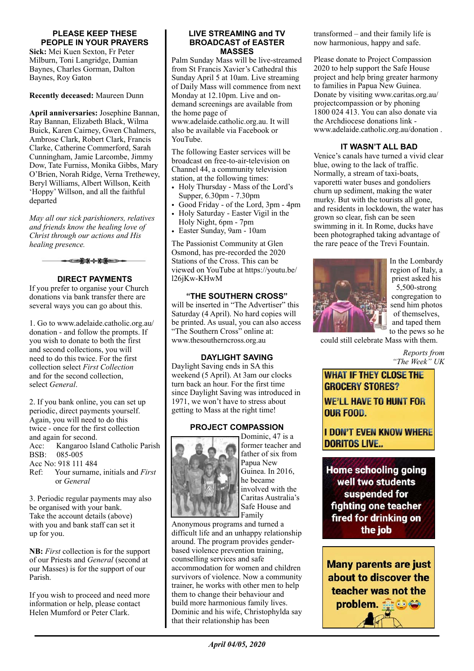#### **PLEASE KEEP THESE PEOPLE IN YOUR PRAYERS**

**Sick:** Mei Kuen Sexton, Fr Peter Milburn, Toni Langridge, Damian Baynes, Charles Gorman, Dalton Baynes, Roy Gaton

**Recently deceased:** Maureen Dunn

**April anniversaries:** Josephine Bannan, Ray Bannan, Elizabeth Black, Wilma Buick, Karen Cairney, Gwen Chalmers, Ambrose Clark, Robert Clark, Francis Clarke, Catherine Commerford, Sarah Cunningham, Jamie Larcombe, Jimmy Dow, Tate Furniss, Monika Gibbs, Mary O'Brien, Norah Ridge, Verna Trethewey, Beryl Williams, Albert Willson, Keith 'Hoppy' Willson, and all the faithful departed

*May all our sick parishioners, relatives and friends know the healing love of Christ through our actions and His healing presence.*



#### **DIRECT PAYMENTS**

If you prefer to organise your Church donations via bank transfer there are several ways you can go about this.

1. Go to www.adelaide.catholic.org.au/ donation - and follow the prompts. If you wish to donate to both the first and second collections, you will need to do this twice. For the first collection select *First Collection* and for the second collection, select *General*.

2. If you bank online, you can set up periodic, direct payments yourself. Again, you will need to do this twice - once for the first collection and again for second. Acc: Kangaroo Island Catholic Parish BSB: 085-005 Acc No: 918 111 484 Ref: Your surname, initials and *First* or *General*

3. Periodic regular payments may also be organised with your bank. Take the account details (above) with you and bank staff can set it up for you.

**NB:** *First* collection is for the support of our Priests and *General* (second at our Masses) is for the support of our Parish.

If you wish to proceed and need more information or help, please contact Helen Mumford or Peter Clark.

#### **LIVE STREAMING and TV BROADCAST of EASTER MASSES**

Palm Sunday Mass will be live-streamed from St Francis Xavier's Cathedral this Sunday April 5 at 10am. Live streaming of Daily Mass will commence from next Monday at 12.10pm. Live and ondemand screenings are available from the home page of www.adelaide.catholic.org.au. It will also be available via Facebook or YouTube.

The following Easter services will be broadcast on free-to-air-television on Channel 44, a community television station, at the following times:

- Holy Thursday Mass of the Lord's Supper, 6.30pm - 7.30pm
- Good Friday of the Lord, 3pm 4pm
- Holy Saturday Easter Vigil in the Holy Night, 6pm - 7pm
- Easter Sunday, 9am 10am

The Passionist Community at Glen Osmond, has pre-recorded the 2020 Stations of the Cross. This can be viewed on YouTube at https://youtu.be/ l26jKw-KHwM

#### **"THE SOUTHERN CROSS"**

will be inserted in "The Advertiser" this Saturday (4 April). No hard copies will be printed. As usual, you can also access "The Southern Cross" online at: www.thesoutherncross.org.au

#### **DAYLIGHT SAVING**

Daylight Saving ends in SA this weekend (5 April). At 3am our clocks turn back an hour. For the first time since Daylight Saving was introduced in 1971, we won't have to stress about getting to Mass at the right time!

### **PROJECT COMPASSION**



Dominic, 47 is a former teacher and father of six from Papua New Guinea. In 2016, he became involved with the Caritas Australia's Safe House and Family

Anonymous programs and turned a difficult life and an unhappy relationship around. The program provides genderbased violence prevention training, counselling services and safe accommodation for women and children survivors of violence. Now a community trainer, he works with other men to help them to change their behaviour and build more harmonious family lives. Dominic and his wife, Christophylda say that their relationship has been

transformed – and their family life is now harmonious, happy and safe.

Please donate to Project Compassion 2020 to help support the Safe House project and help bring greater harmony to families in Papua New Guinea. Donate by visiting www.caritas.org.au/ projectcompassion or by phoning 1800 024 413. You can also donate via the Archdiocese donations link www.adelaide.catholic.org.au/donation .

### **IT WASN'T ALL BAD**

Venice's canals have turned a vivid clear blue, owing to the lack of traffic. Normally, a stream of taxi-boats, vaporetti water buses and gondoliers churn up sediment, making the water murky. But with the tourists all gone, and residents in lockdown, the water has grown so clear, fish can be seen swimming in it. In Rome, ducks have been photographed taking advantage of the rare peace of the Trevi Fountain.



In the Lombardy region of Italy, a priest asked his 5,500-strong congregation to send him photos of themselves, and taped them to the pews so he

could still celebrate Mass with them.

*Reports from "The Week" UK*

**WHAT IF THEY CLOSE THE GROCERY STORES? WE'LL HAVE TO HUNT FOR OUR FOOD.** 

**I DON'T EVEN KNOW WHERE DORITOS LIVE...** 

**Home schooling going** well two students suspended for fighting one teacher fired for drinking on the job

**Many parents are just** about to discover the teacher was not the problem.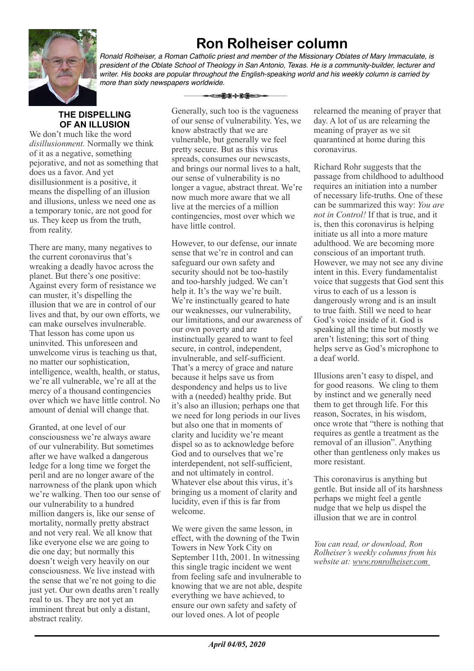# **Ron Rolheiser column**



*Ronald Rolheiser, a Roman Catholic priest and member of the Missionary Oblates of Mary Immaculate, is president of the Oblate School of Theology in San Antonio, Texas. He is a community-builder, lecturer and writer. His books are popular throughout the English-speaking world and his weekly column is carried by more than sixty newspapers worldwide.*

### **THE DISPELLING OF AN ILLUSION**

We don't much like the word *disillusionment.* Normally we think of it as a negative, something pejorative, and not as something that does us a favor. And yet disillusionment is a positive, it means the dispelling of an illusion and illusions, unless we need one as a temporary tonic, are not good for us. They keep us from the truth, from reality.

There are many, many negatives to the current coronavirus that's wreaking a deadly havoc across the planet. But there's one positive: Against every form of resistance we can muster, it's dispelling the illusion that we are in control of our lives and that, by our own efforts, we can make ourselves invulnerable. That lesson has come upon us uninvited. This unforeseen and unwelcome virus is teaching us that, no matter our sophistication, intelligence, wealth, health, or status, we're all vulnerable, we're all at the mercy of a thousand contingencies over which we have little control. No amount of denial will change that.

Granted, at one level of our consciousness we're always aware of our vulnerability. But sometimes after we have walked a dangerous ledge for a long time we forget the peril and are no longer aware of the narrowness of the plank upon which we're walking. Then too our sense of our vulnerability to a hundred million dangers is, like our sense of mortality, normally pretty abstract and not very real. We all know that like everyone else we are going to die one day; but normally this doesn't weigh very heavily on our consciousness. We live instead with the sense that we're not going to die just yet. Our own deaths aren't really real to us. They are not yet an imminent threat but only a distant, abstract reality.

Generally, such too is the vagueness of our sense of vulnerability. Yes, we know abstractly that we are vulnerable, but generally we feel pretty secure. But as this virus spreads, consumes our newscasts, and brings our normal lives to a halt, our sense of vulnerability is no longer a vague, abstract threat. We're now much more aware that we all live at the mercies of a million contingencies, most over which we have little control.

<del>-⊂≵⊁⊹⋡≸</del>≡⊃

However, to our defense, our innate sense that we're in control and can safeguard our own safety and security should not be too-hastily and too-harshly judged. We can't help it. It's the way we're built. We're instinctually geared to hate our weaknesses, our vulnerability, our limitations, and our awareness of our own poverty and are instinctually geared to want to feel secure, in control, independent, invulnerable, and self-sufficient. That's a mercy of grace and nature because it helps save us from despondency and helps us to live with a (needed) healthy pride. But it's also an illusion; perhaps one that we need for long periods in our lives but also one that in moments of clarity and lucidity we're meant dispel so as to acknowledge before God and to ourselves that we're interdependent, not self-sufficient, and not ultimately in control. Whatever else about this virus, it's bringing us a moment of clarity and lucidity, even if this is far from welcome.

We were given the same lesson, in effect, with the downing of the Twin Towers in New York City on September 11th, 2001. In witnessing this single tragic incident we went from feeling safe and invulnerable to knowing that we are not able, despite everything we have achieved, to ensure our own safety and safety of our loved ones. A lot of people

relearned the meaning of prayer that day. A lot of us are relearning the meaning of prayer as we sit quarantined at home during this coronavirus.

Richard Rohr suggests that the passage from childhood to adulthood requires an initiation into a number of necessary life-truths. One of these can be summarized this way: *You are not in Control!* If that is true, and it is, then this coronavirus is helping initiate us all into a more mature adulthood. We are becoming more conscious of an important truth. However, we may not see any divine intent in this. Every fundamentalist voice that suggests that God sent this virus to each of us a lesson is dangerously wrong and is an insult to true faith. Still we need to hear God's voice inside of it. God is speaking all the time but mostly we aren't listening; this sort of thing helps serve as God's microphone to a deaf world.

Illusions aren't easy to dispel, and for good reasons. We cling to them by instinct and we generally need them to get through life. For this reason, Socrates, in his wisdom, once wrote that "there is nothing that requires as gentle a treatment as the removal of an illusion". Anything other than gentleness only makes us more resistant.

This coronavirus is anything but gentle. But inside all of its harshness perhaps we might feel a gentle nudge that we help us dispel the illusion that we are in control

*You can read, or download, Ron Rolheiser's weekly columns from his website at: www.ronrolheiser.com*